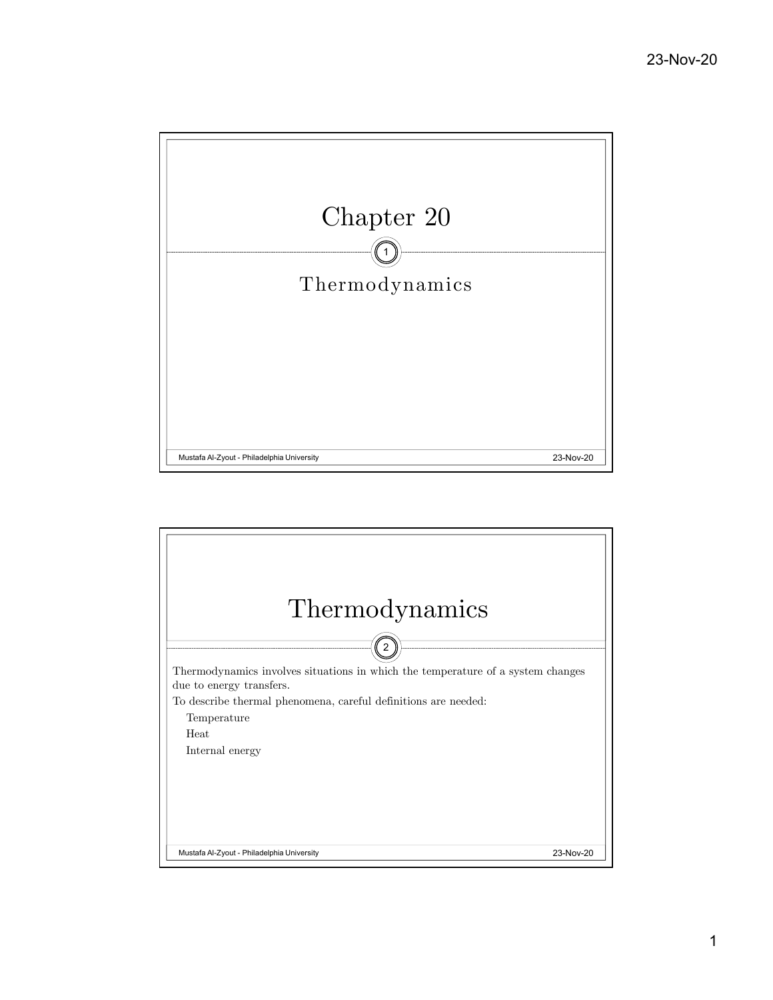

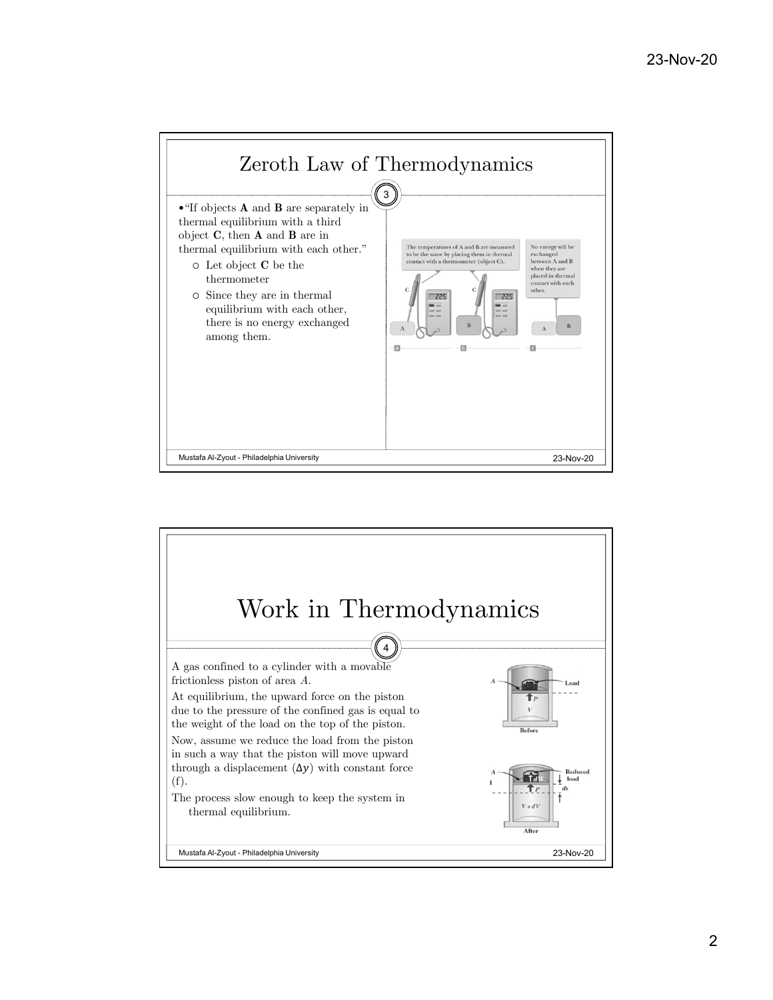

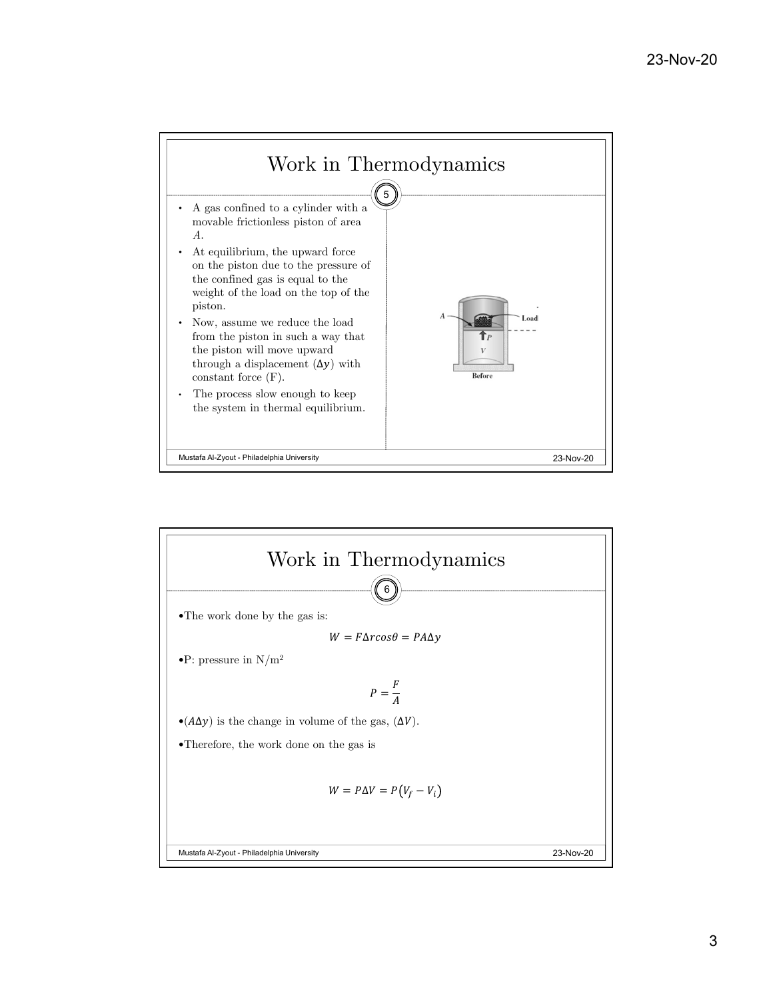

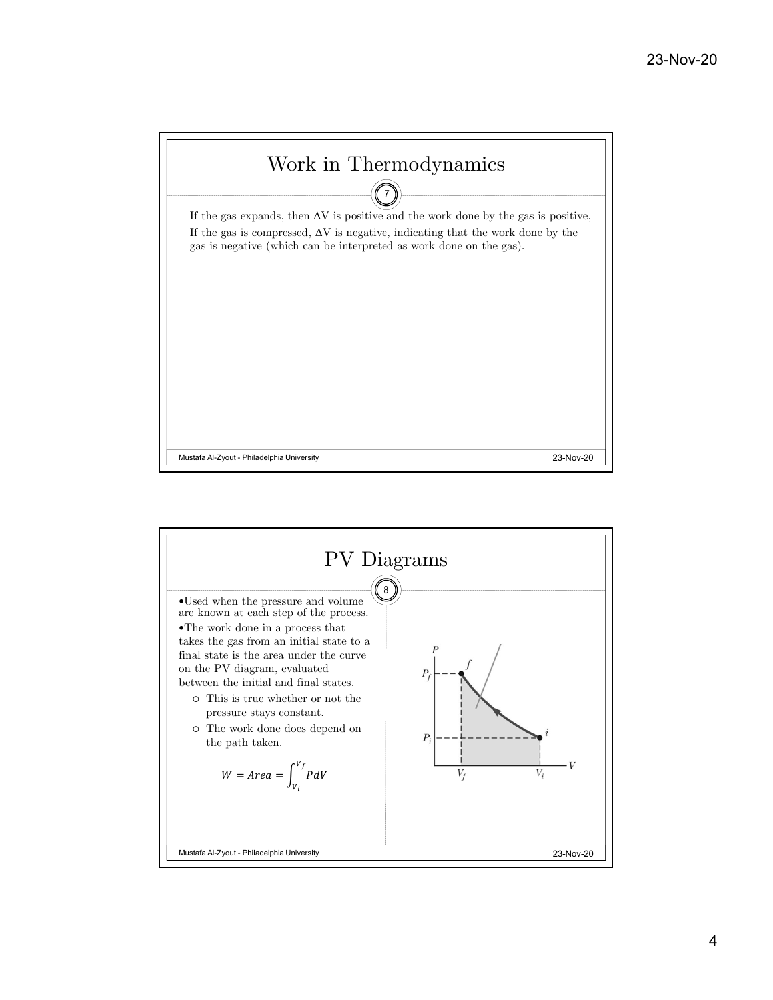

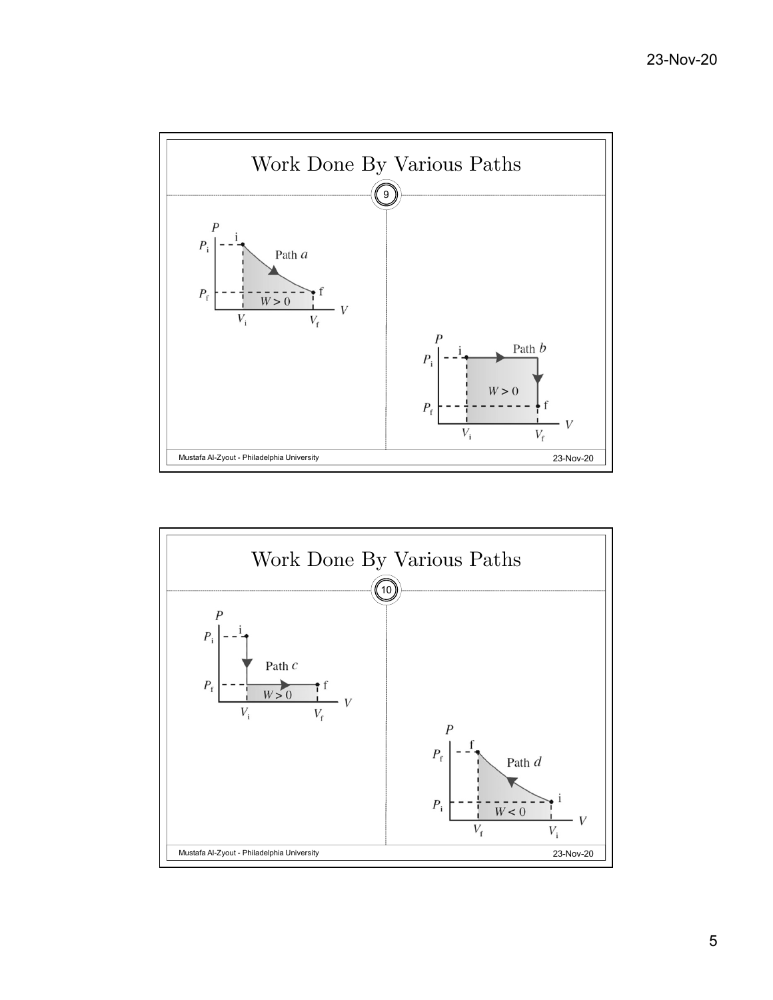



5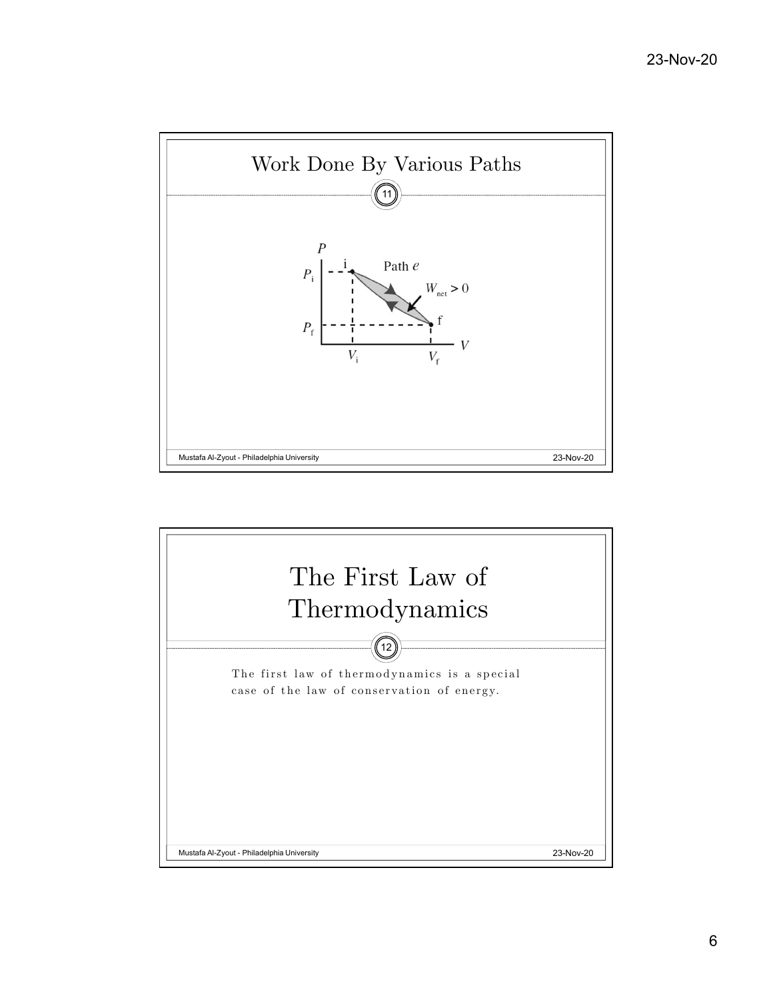

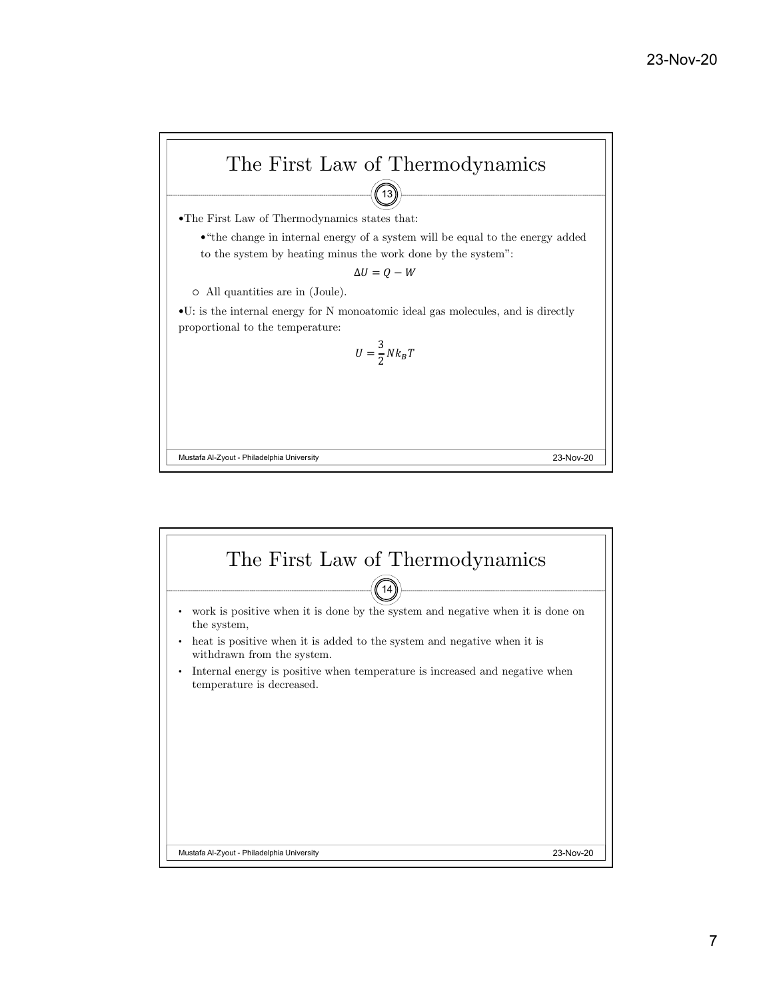

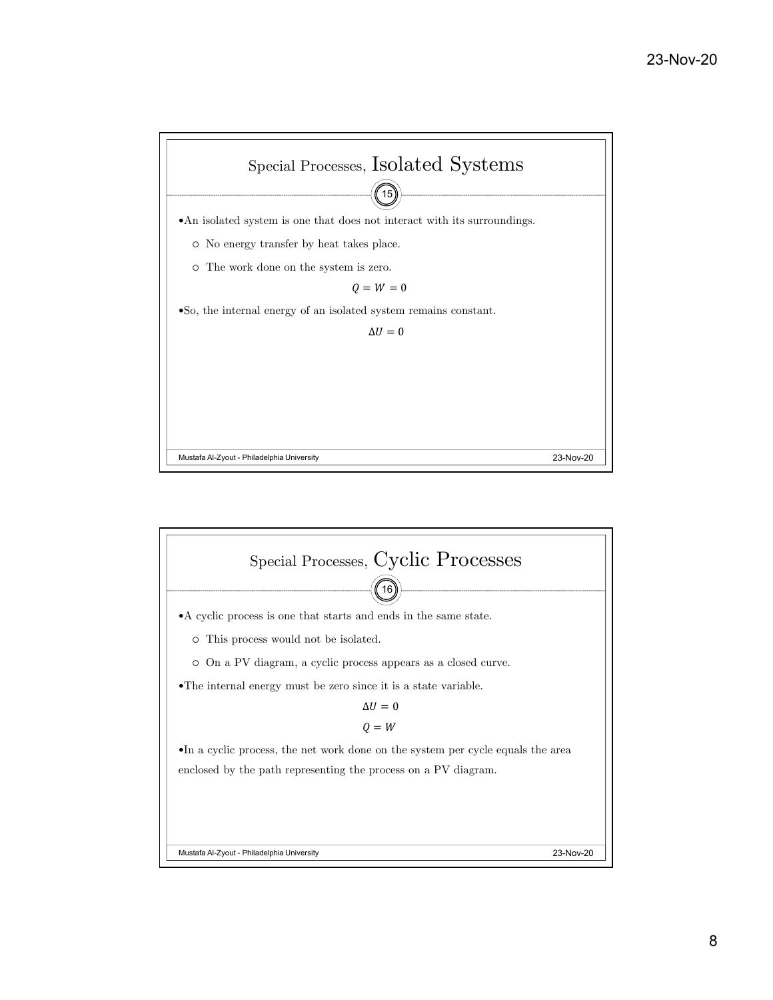

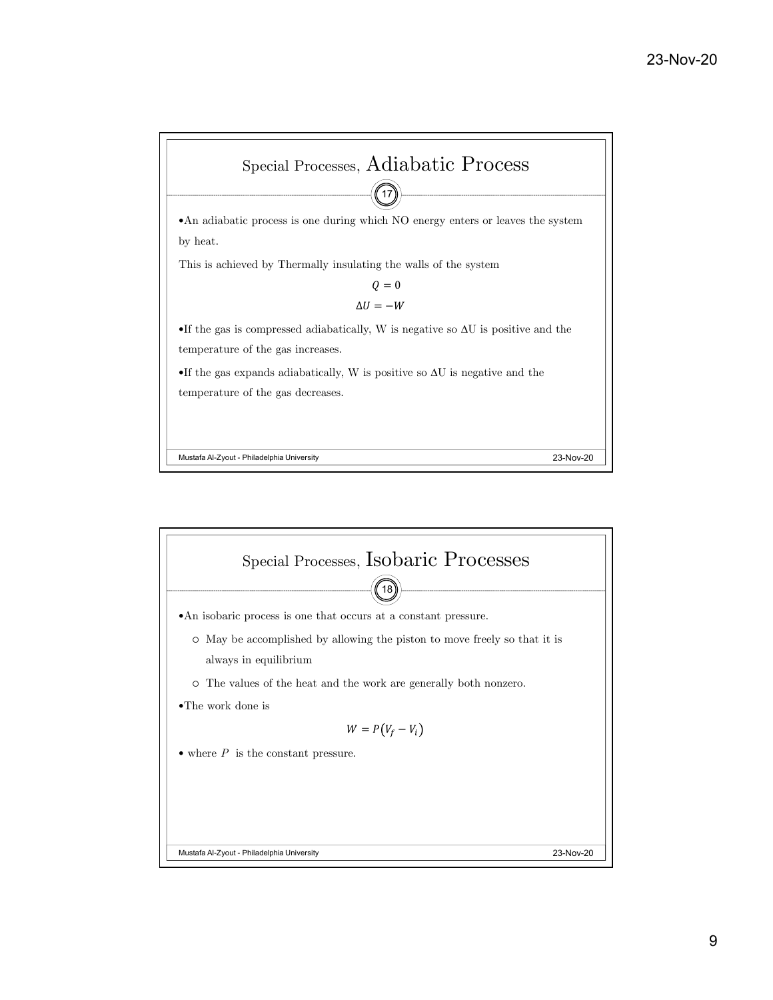

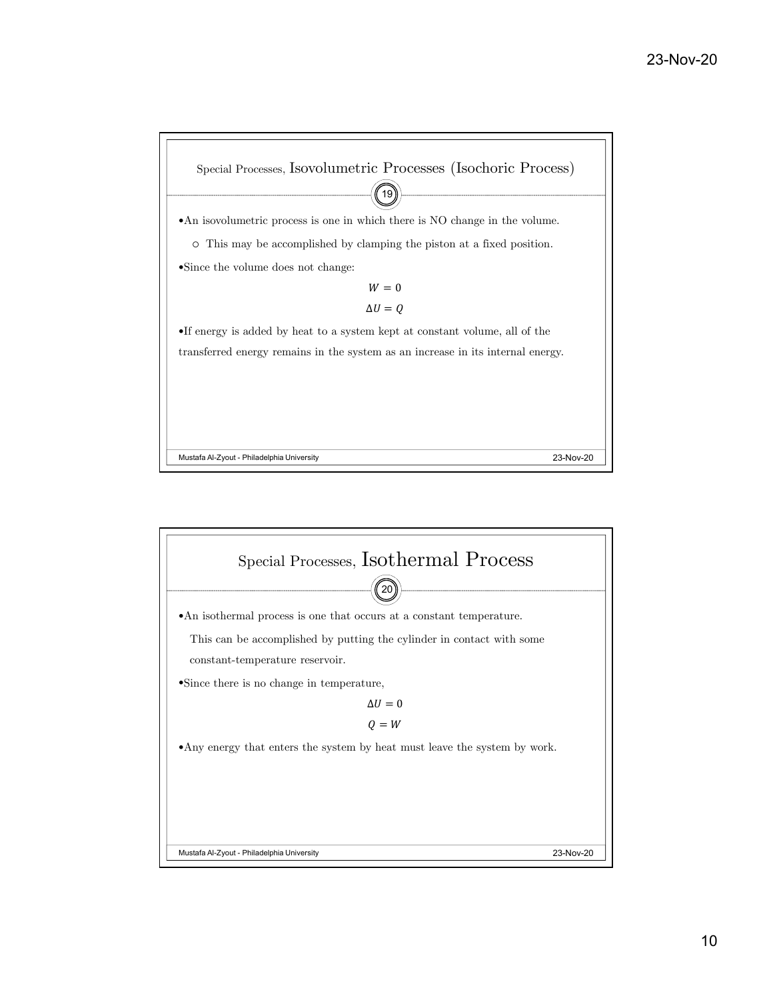

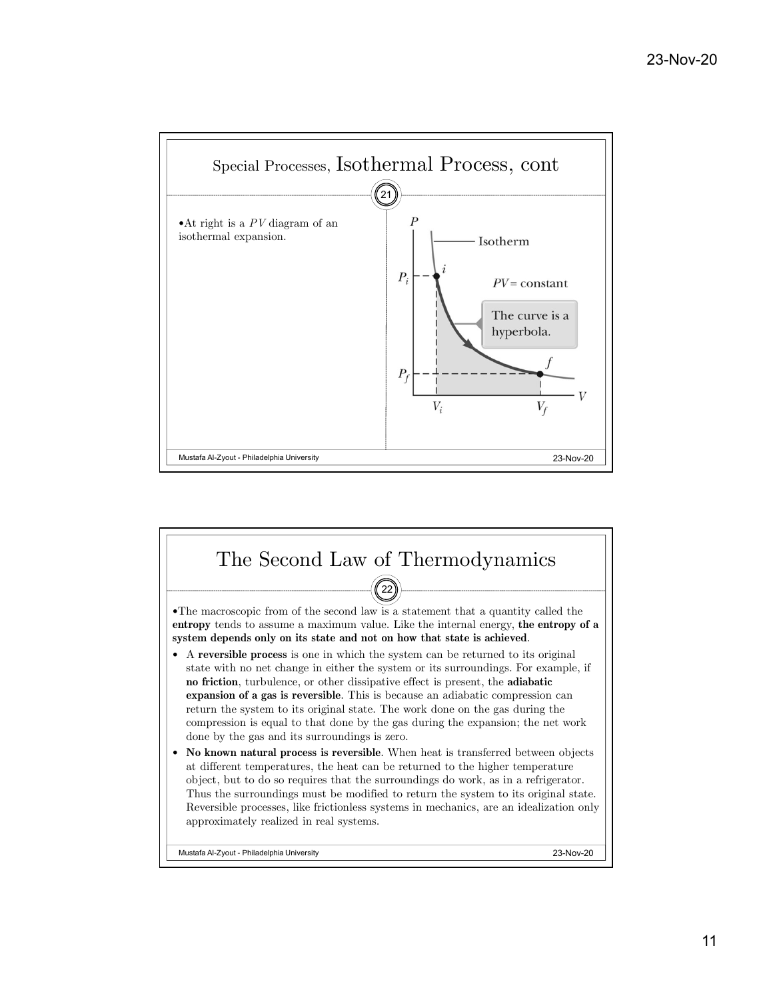